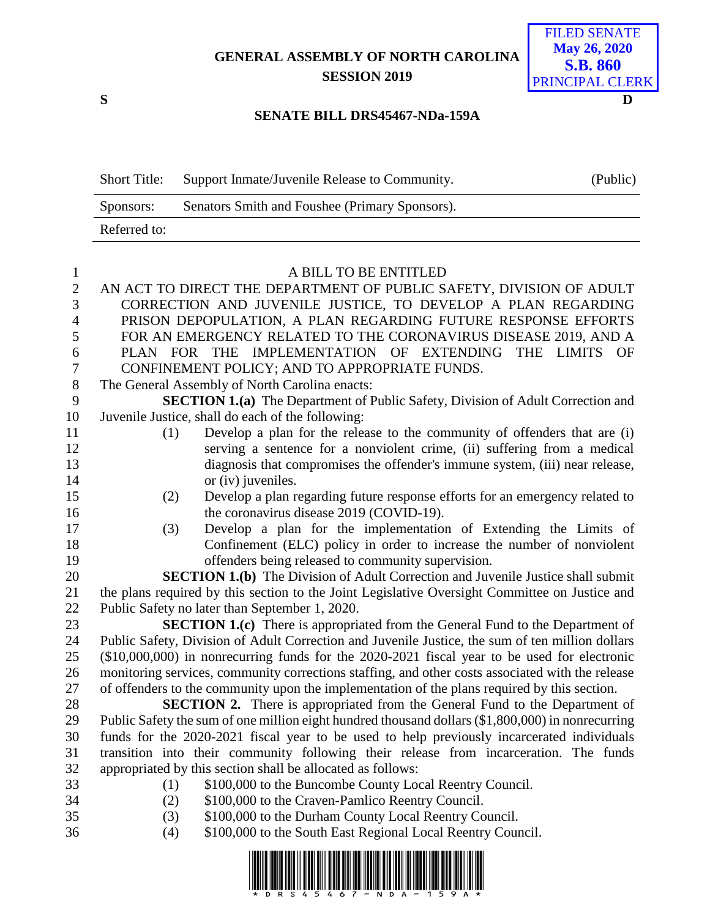## **GENERAL ASSEMBLY OF NORTH CAROLINA SESSION 2019**

**S D**

## FILED SENATE **May 26, 2020 S.B. 860** PRINCIPAL CLERK

## **SENATE BILL DRS45467-NDa-159A**

| <b>Short Title:</b> | Support Inmate/Juvenile Release to Community.  | (Public) |
|---------------------|------------------------------------------------|----------|
| Sponsors:           | Senators Smith and Foushee (Primary Sponsors). |          |
| Referred to:        |                                                |          |

## 1 A BILL TO BE ENTITLED<br>2 AN ACT TO DIRECT THE DEPARTMENT OF PUBLIC S. AN ACT TO DIRECT THE DEPARTMENT OF PUBLIC SAFETY, DIVISION OF ADULT CORRECTION AND JUVENILE JUSTICE, TO DEVELOP A PLAN REGARDING PRISON DEPOPULATION, A PLAN REGARDING FUTURE RESPONSE EFFORTS FOR AN EMERGENCY RELATED TO THE CORONAVIRUS DISEASE 2019, AND A PLAN FOR THE IMPLEMENTATION OF EXTENDING THE LIMITS OF CONFINEMENT POLICY; AND TO APPROPRIATE FUNDS. The General Assembly of North Carolina enacts:

 **SECTION 1.(a)** The Department of Public Safety, Division of Adult Correction and Juvenile Justice, shall do each of the following:

- (1) Develop a plan for the release to the community of offenders that are (i) serving a sentence for a nonviolent crime, (ii) suffering from a medical diagnosis that compromises the offender's immune system, (iii) near release, 14 or (iv) juveniles.
- (2) Develop a plan regarding future response efforts for an emergency related to 16 the coronavirus disease 2019 (COVID-19).
- (3) Develop a plan for the implementation of Extending the Limits of Confinement (ELC) policy in order to increase the number of nonviolent offenders being released to community supervision.

 **SECTION 1.(b)** The Division of Adult Correction and Juvenile Justice shall submit the plans required by this section to the Joint Legislative Oversight Committee on Justice and Public Safety no later than September 1, 2020.

 **SECTION 1.(c)** There is appropriated from the General Fund to the Department of Public Safety, Division of Adult Correction and Juvenile Justice, the sum of ten million dollars (\$10,000,000) in nonrecurring funds for the 2020-2021 fiscal year to be used for electronic monitoring services, community corrections staffing, and other costs associated with the release of offenders to the community upon the implementation of the plans required by this section.

 **SECTION 2.** There is appropriated from the General Fund to the Department of Public Safety the sum of one million eight hundred thousand dollars (\$1,800,000) in nonrecurring funds for the 2020-2021 fiscal year to be used to help previously incarcerated individuals transition into their community following their release from incarceration. The funds appropriated by this section shall be allocated as follows:

(1) \$100,000 to the Buncombe County Local Reentry Council.

- (2) \$100,000 to the Craven-Pamlico Reentry Council.
- (3) \$100,000 to the Durham County Local Reentry Council.
- (4) \$100,000 to the South East Regional Local Reentry Council.